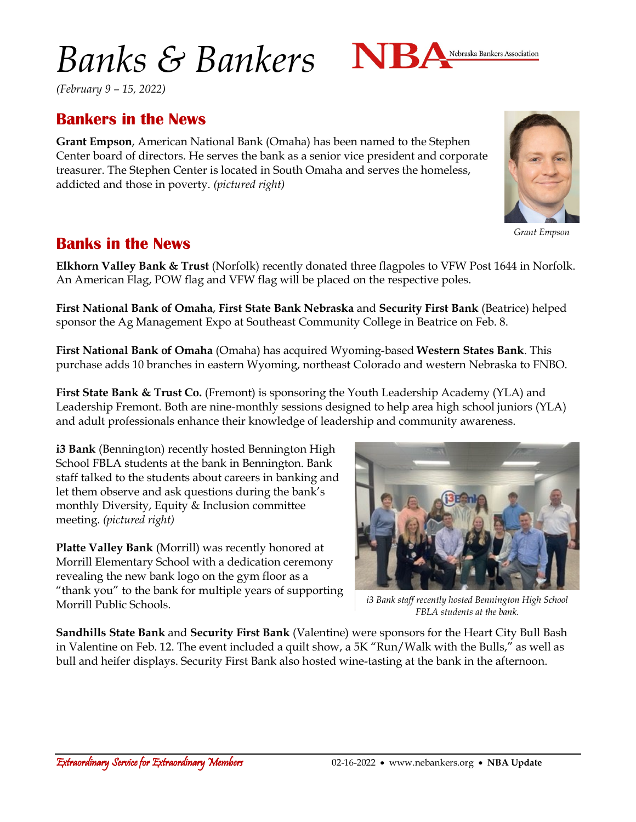# *Banks & Bankers*



*(February 9 – 15, 2022)*

## **Bankers in the News**

**Grant Empson**, American National Bank (Omaha) has been named to the Stephen Center board of directors. He serves the bank as a senior vice president and corporate treasurer. The Stephen Center is located in South Omaha and serves the homeless, addicted and those in poverty. *(pictured right)*



**Elkhorn Valley Bank & Trust** (Norfolk) recently donated three flagpoles to VFW Post 1644 in Norfolk. An American Flag, POW flag and VFW flag will be placed on the respective poles.

**First National Bank of Omaha**, **First State Bank Nebraska** and **Security First Bank** (Beatrice) helped sponsor the Ag Management Expo at Southeast Community College in Beatrice on Feb. 8.

**First National Bank of Omaha** (Omaha) has acquired Wyoming-based **Western States Bank**. This purchase adds 10 branches in eastern Wyoming, northeast Colorado and western Nebraska to FNBO.

**First State Bank & Trust Co.** (Fremont) is sponsoring the Youth Leadership Academy (YLA) and Leadership Fremont. Both are nine-monthly sessions designed to help area high school juniors (YLA) and adult professionals enhance their knowledge of leadership and community awareness.

**i3 Bank** (Bennington) recently hosted Bennington High School FBLA students at the bank in Bennington. Bank staff talked to the students about careers in banking and let them observe and ask questions during the bank's monthly Diversity, Equity & Inclusion committee meeting. *(pictured right)*

**Platte Valley Bank** (Morrill) was recently honored at Morrill Elementary School with a dedication ceremony revealing the new bank logo on the gym floor as a "thank you" to the bank for multiple years of supporting Morrill Public Schools.



*i3 Bank staff recently hosted Bennington High School FBLA students at the bank.*

**Sandhills State Bank** and **Security First Bank** (Valentine) were sponsors for the Heart City Bull Bash in Valentine on Feb. 12. The event included a quilt show, a 5K "Run/Walk with the Bulls," as well as bull and heifer displays. Security First Bank also hosted wine-tasting at the bank in the afternoon.



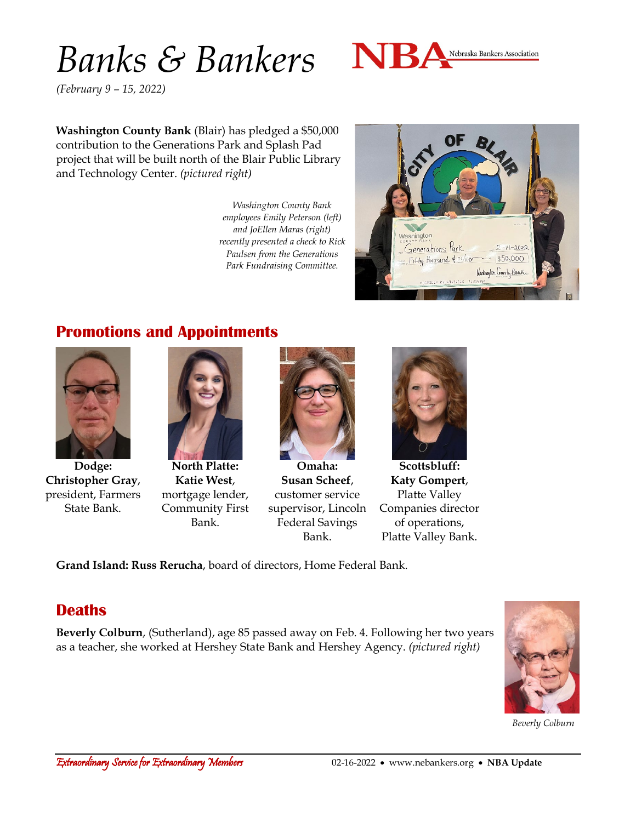# *Banks & Bankers*



*(February 9 – 15, 2022)*

**Washington County Bank** (Blair) has pledged a \$50,000 contribution to the Generations Park and Splash Pad project that will be built north of the Blair Public Library and Technology Center. *(pictured right)*

> *Washington County Bank employees Emily Peterson (left) and JoEllen Maras (right) recently presented a check to Rick Paulsen from the Generations Park Fundraising Committee.*



## **Promotions and Appointments**



**Dodge: Christopher Gray**, president, Farmers State Bank.



**North Platte: Katie West**, mortgage lender, Community First Bank.



**Omaha: Susan Scheef**, customer service supervisor, Lincoln Federal Savings Bank.



**Scottsbluff: Katy Gompert**, Platte Valley Companies director of operations, Platte Valley Bank.

**Grand Island: Russ Rerucha**, board of directors, Home Federal Bank.

#### **Deaths**

**Beverly Colburn**, (Sutherland), age 85 passed away on Feb. 4. Following her two years as a teacher, she worked at Hershey State Bank and Hershey Agency. *(pictured right)*



*Beverly Colburn*